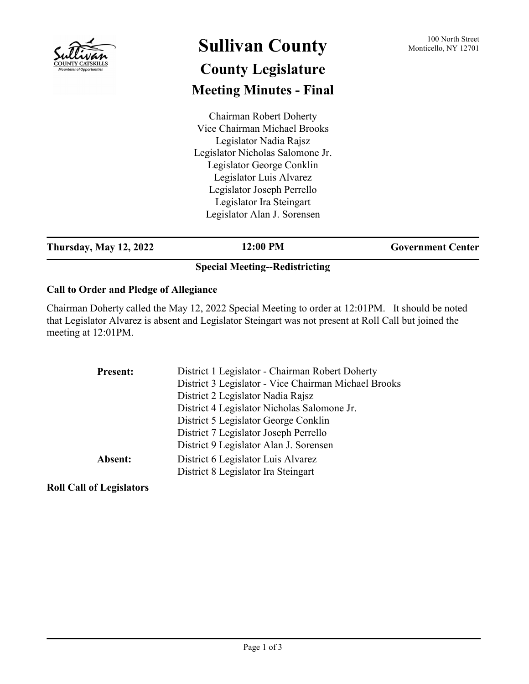| <b>Mountains of Opportunities</b>             | <b>Sullivan County</b>                                                                                                                                                                                                                                                        | 100 North Street<br>Monticello, NY 12701 |
|-----------------------------------------------|-------------------------------------------------------------------------------------------------------------------------------------------------------------------------------------------------------------------------------------------------------------------------------|------------------------------------------|
|                                               | <b>County Legislature</b>                                                                                                                                                                                                                                                     |                                          |
|                                               | <b>Meeting Minutes - Final</b>                                                                                                                                                                                                                                                |                                          |
|                                               | <b>Chairman Robert Doherty</b><br>Vice Chairman Michael Brooks<br>Legislator Nadia Rajsz<br>Legislator Nicholas Salomone Jr.<br>Legislator George Conklin<br>Legislator Luis Alvarez<br>Legislator Joseph Perrello<br>Legislator Ira Steingart<br>Legislator Alan J. Sorensen |                                          |
| <b>Thursday, May 12, 2022</b>                 | 12:00 PM                                                                                                                                                                                                                                                                      | <b>Government Center</b>                 |
|                                               | <b>Special Meeting--Redistricting</b>                                                                                                                                                                                                                                         |                                          |
| <b>Call to Order and Pledge of Allegiance</b> |                                                                                                                                                                                                                                                                               |                                          |

Chairman Doherty called the May 12, 2022 Special Meeting to order at 12:01PM. It should be noted that Legislator Alvarez is absent and Legislator Steingart was not present at Roll Call but joined the meeting at 12:01PM.

| <b>Present:</b> | District 1 Legislator - Chairman Robert Doherty      |
|-----------------|------------------------------------------------------|
|                 | District 3 Legislator - Vice Chairman Michael Brooks |
|                 | District 2 Legislator Nadia Rajsz                    |
|                 | District 4 Legislator Nicholas Salomone Jr.          |
|                 | District 5 Legislator George Conklin                 |
|                 | District 7 Legislator Joseph Perrello                |
|                 | District 9 Legislator Alan J. Sorensen               |
| Absent:         | District 6 Legislator Luis Alvarez                   |
|                 | District 8 Legislator Ira Steingart                  |
|                 |                                                      |

**Roll Call of Legislators**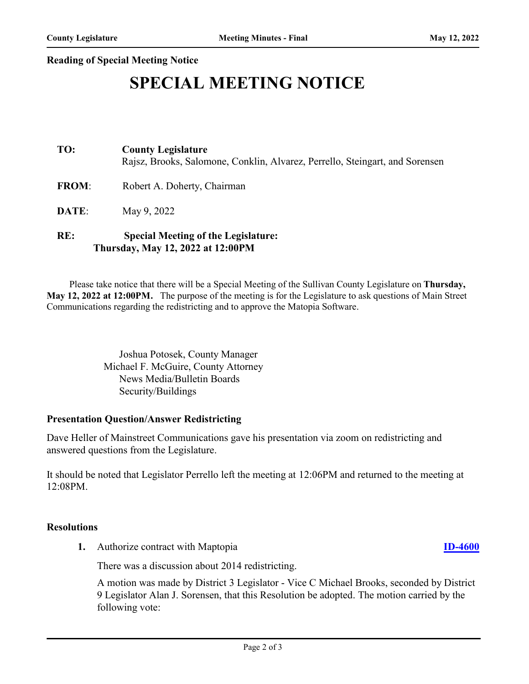### **Reading of Special Meeting Notice**

# **SPECIAL MEETING NOTICE**

## **TO: County Legislature** Rajsz, Brooks, Salomone, Conklin, Alvarez, Perrello, Steingart, and Sorensen

FROM: Robert A. Doherty, Chairman

**DATE:** May 9, 2022

## **RE: Special Meeting of the Legislature: Thursday, May 12, 2022 at 12:00PM**

 Please take notice that there will be a Special Meeting of the Sullivan County Legislature on **Thursday, May 12, 2022 at 12:00PM.** The purpose of the meeting is for the Legislature to ask questions of Main Street Communications regarding the redistricting and to approve the Matopia Software.

> Joshua Potosek, County Manager Michael F. McGuire, County Attorney News Media/Bulletin Boards Security/Buildings

#### **Presentation Question/Answer Redistricting**

Dave Heller of Mainstreet Communications gave his presentation via zoom on redistricting and answered questions from the Legislature.

It should be noted that Legislator Perrello left the meeting at 12:06PM and returned to the meeting at 12:08PM.

#### **Resolutions**

**1.** Authorize contract with Maptopia **[ID-4600](http://sullivancountyny.legistar.com/gateway.aspx?m=l&id=/matter.aspx?key=1626)**

There was a discussion about 2014 redistricting.

A motion was made by District 3 Legislator - Vice C Michael Brooks, seconded by District 9 Legislator Alan J. Sorensen, that this Resolution be adopted. The motion carried by the following vote: